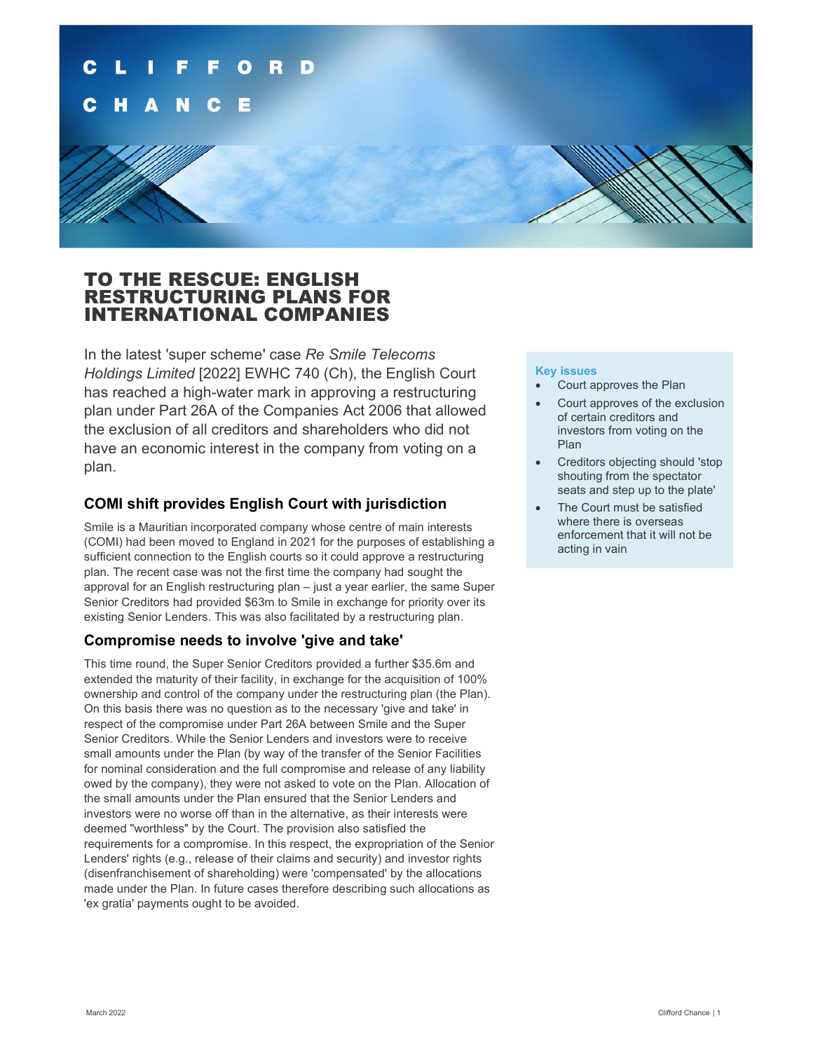

## TO THE RESCUE: ENGLISH RESTRUCTURING PLANS FOR INTERNATIONAL COMPANIES

In the latest 'super scheme' case Re Smile Telecoms Holdings Limited [2022] EWHC 740 (Ch), the English Court has reached a high-water mark in approving a restructuring plan under Part 26A of the Companies Act 2006 that allowed the exclusion of all creditors and shareholders who did not have an economic interest in the company from voting on a plan.

#### COMI shift provides English Court with jurisdiction

Smile is a Mauritian incorporated company whose centre of main interests (COMI) had been moved to England in 2021 for the purposes of establishing a sufficient connection to the English courts so it could approve a restructuring plan. The recent case was not the first time the company had sought the approval for an English restructuring plan – just a year earlier, the same Super Senior Creditors had provided \$63m to Smile in exchange for priority over its existing Senior Lenders. This was also facilitated by a restructuring plan.

#### Compromise needs to involve 'give and take'

This time round, the Super Senior Creditors provided a further \$35.6m and extended the maturity of their facility, in exchange for the acquisition of 100% ownership and control of the company under the restructuring plan (the Plan). On this basis there was no question as to the necessary 'give and take' in respect of the compromise under Part 26A between Smile and the Super Senior Creditors. While the Senior Lenders and investors were to receive small amounts under the Plan (by way of the transfer of the Senior Facilities for nominal consideration and the full compromise and release of any liability owed by the company), they were not asked to vote on the Plan. Allocation of the small amounts under the Plan ensured that the Senior Lenders and investors were no worse off than in the alternative, as their interests were deemed "worthless" by the Court. The provision also satisfied the requirements for a compromise. In this respect, the expropriation of the Senior Lenders' rights (e.g., release of their claims and security) and investor rights (disenfranchisement of shareholding) were 'compensated' by the allocations made under the Plan. In future cases therefore describing such allocations as 'ex gratia' payments ought to be avoided.

#### Key issues

- Court approves the Plan
- Court approves of the exclusion of certain creditors and investors from voting on the Plan
- Creditors objecting should 'stop shouting from the spectator seats and step up to the plate'
- The Court must be satisfied where there is overseas enforcement that it will not be acting in vain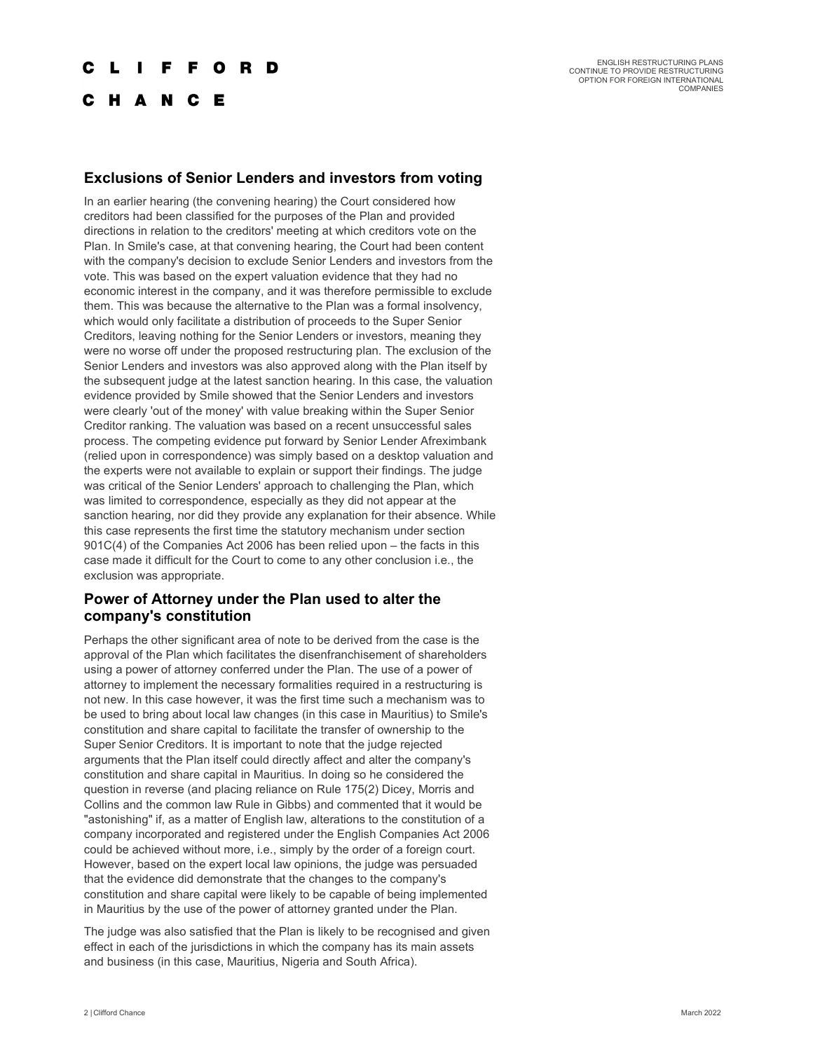#### **FFORD**

C H A N C E

#### Exclusions of Senior Lenders and investors from voting

In an earlier hearing (the convening hearing) the Court considered how creditors had been classified for the purposes of the Plan and provided directions in relation to the creditors' meeting at which creditors vote on the Plan. In Smile's case, at that convening hearing, the Court had been content with the company's decision to exclude Senior Lenders and investors from the vote. This was based on the expert valuation evidence that they had no economic interest in the company, and it was therefore permissible to exclude them. This was because the alternative to the Plan was a formal insolvency, which would only facilitate a distribution of proceeds to the Super Senior Creditors, leaving nothing for the Senior Lenders or investors, meaning they were no worse off under the proposed restructuring plan. The exclusion of the Senior Lenders and investors was also approved along with the Plan itself by the subsequent judge at the latest sanction hearing. In this case, the valuation evidence provided by Smile showed that the Senior Lenders and investors were clearly 'out of the money' with value breaking within the Super Senior Creditor ranking. The valuation was based on a recent unsuccessful sales process. The competing evidence put forward by Senior Lender Afreximbank (relied upon in correspondence) was simply based on a desktop valuation and the experts were not available to explain or support their findings. The judge was critical of the Senior Lenders' approach to challenging the Plan, which was limited to correspondence, especially as they did not appear at the sanction hearing, nor did they provide any explanation for their absence. While this case represents the first time the statutory mechanism under section 901C(4) of the Companies Act 2006 has been relied upon – the facts in this case made it difficult for the Court to come to any other conclusion i.e., the exclusion was appropriate.

#### Power of Attorney under the Plan used to alter the company's constitution

Perhaps the other significant area of note to be derived from the case is the approval of the Plan which facilitates the disenfranchisement of shareholders using a power of attorney conferred under the Plan. The use of a power of attorney to implement the necessary formalities required in a restructuring is not new. In this case however, it was the first time such a mechanism was to be used to bring about local law changes (in this case in Mauritius) to Smile's constitution and share capital to facilitate the transfer of ownership to the Super Senior Creditors. It is important to note that the judge rejected arguments that the Plan itself could directly affect and alter the company's constitution and share capital in Mauritius. In doing so he considered the question in reverse (and placing reliance on Rule 175(2) Dicey, Morris and Collins and the common law Rule in Gibbs) and commented that it would be "astonishing" if, as a matter of English law, alterations to the constitution of a company incorporated and registered under the English Companies Act 2006 could be achieved without more, i.e., simply by the order of a foreign court. However, based on the expert local law opinions, the judge was persuaded that the evidence did demonstrate that the changes to the company's constitution and share capital were likely to be capable of being implemented in Mauritius by the use of the power of attorney granted under the Plan.

The judge was also satisfied that the Plan is likely to be recognised and given effect in each of the jurisdictions in which the company has its main assets and business (in this case, Mauritius, Nigeria and South Africa).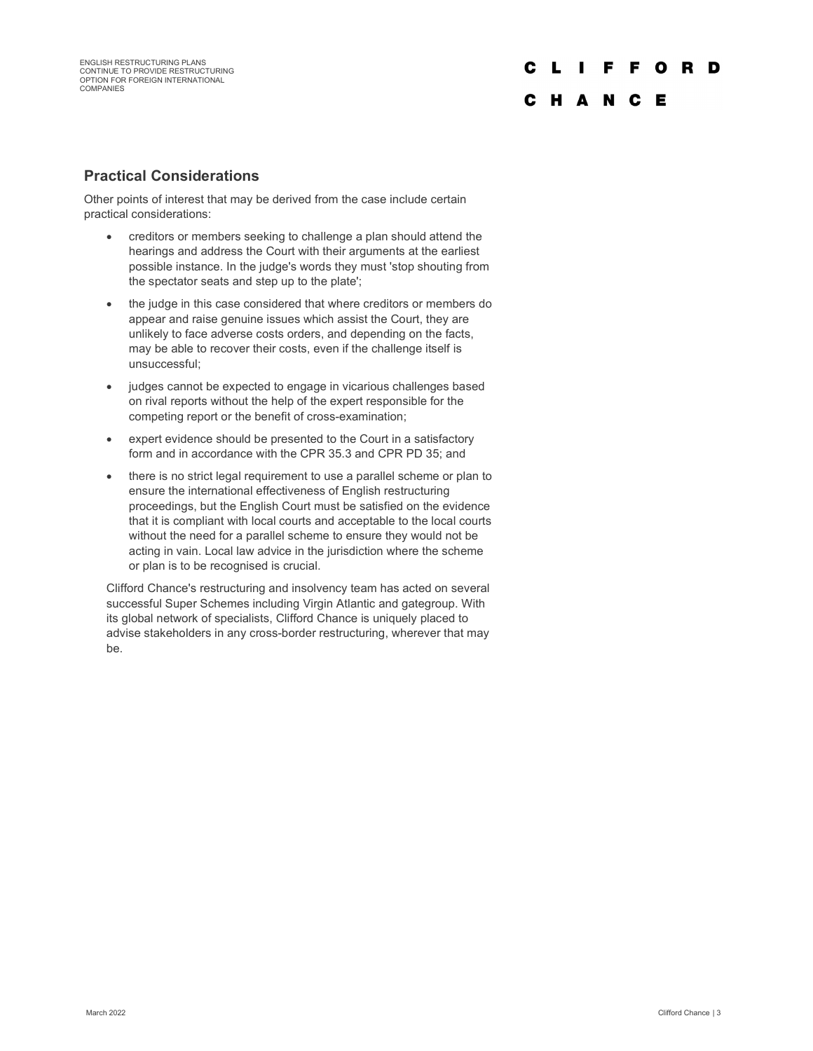# C L I F F O R D C H A N C E

#### Practical Considerations

Other points of interest that may be derived from the case include certain practical considerations:

- creditors or members seeking to challenge a plan should attend the hearings and address the Court with their arguments at the earliest possible instance. In the judge's words they must 'stop shouting from the spectator seats and step up to the plate';
- the judge in this case considered that where creditors or members do appear and raise genuine issues which assist the Court, they are unlikely to face adverse costs orders, and depending on the facts, may be able to recover their costs, even if the challenge itself is unsuccessful;
- judges cannot be expected to engage in vicarious challenges based on rival reports without the help of the expert responsible for the competing report or the benefit of cross-examination;
- expert evidence should be presented to the Court in a satisfactory form and in accordance with the CPR 35.3 and CPR PD 35; and
- there is no strict legal requirement to use a parallel scheme or plan to ensure the international effectiveness of English restructuring proceedings, but the English Court must be satisfied on the evidence that it is compliant with local courts and acceptable to the local courts without the need for a parallel scheme to ensure they would not be acting in vain. Local law advice in the jurisdiction where the scheme or plan is to be recognised is crucial.

Clifford Chance's restructuring and insolvency team has acted on several successful Super Schemes including Virgin Atlantic and gategroup. With its global network of specialists, Clifford Chance is uniquely placed to advise stakeholders in any cross-border restructuring, wherever that may be.